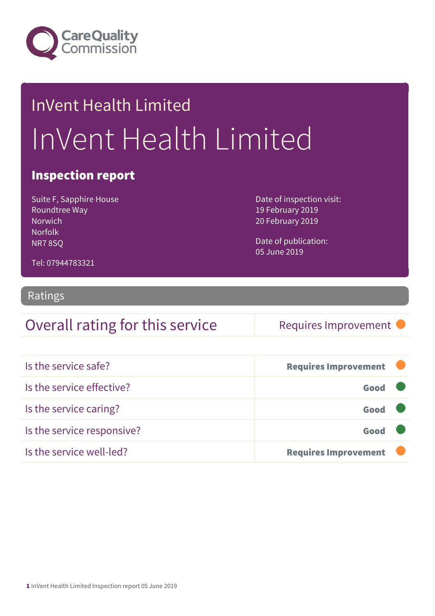

# InVent Health Limited InVent Health Limited

#### Inspection report

Suite F, Sapphire House Roundtree Way **Norwich Norfolk** NR7 8SQ

Date of inspection visit: 19 February 2019 20 February 2019

Date of publication: 05 June 2019

Tel: 07944783321

#### Ratings

#### Overall rating for this service Requires Improvement

| Is the service safe?       | <b>Requires Improvement</b> |  |
|----------------------------|-----------------------------|--|
| Is the service effective?  | Good                        |  |
| Is the service caring?     | Good                        |  |
| Is the service responsive? | Good                        |  |
| Is the service well-led?   | <b>Requires Improvement</b> |  |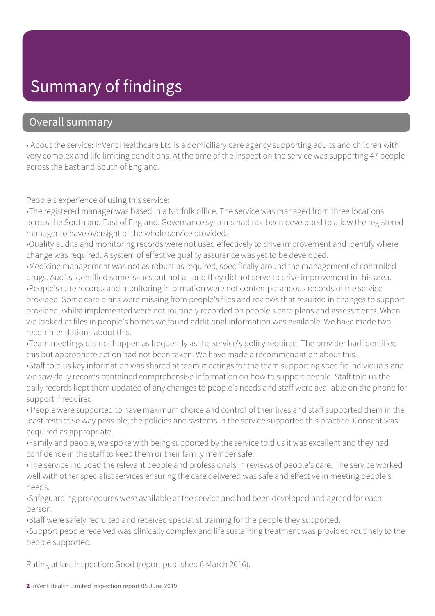### Summary of findings

#### Overall summary

• About the service: InVent Healthcare Ltd is a domiciliary care agency supporting adults and children with very complex and life limiting conditions. At the time of the inspection the service was supporting 47 people across the East and South of England.

People's experience of using this service:

•The registered manager was based in a Norfolk office. The service was managed from three locations across the South and East of England. Governance systems had not been developed to allow the registered manager to have oversight of the whole service provided.

•Quality audits and monitoring records were not used effectively to drive improvement and identify where change was required. A system of effective quality assurance was yet to be developed.

•Medicine management was not as robust as required, specifically around the management of controlled drugs. Audits identified some issues but not all and they did not serve to drive improvement in this area. •People's care records and monitoring information were not contemporaneous records of the service provided. Some care plans were missing from people's files and reviews that resulted in changes to support provided, whilst implemented were not routinely recorded on people's care plans and assessments. When we looked at files in people's homes we found additional information was available. We have made two recommendations about this.

•Team meetings did not happen as frequently as the service's policy required. The provider had identified this but appropriate action had not been taken. We have made a recommendation about this.

•Staff told us key information was shared at team meetings for the team supporting specific individuals and we saw daily records contained comprehensive information on how to support people. Staff told us the daily records kept them updated of any changes to people's needs and staff were available on the phone for support if required.

• People were supported to have maximum choice and control of their lives and staff supported them in the least restrictive way possible; the policies and systems in the service supported this practice. Consent was acquired as appropriate.

•Family and people, we spoke with being supported by the service told us it was excellent and they had confidence in the staff to keep them or their family member safe.

•The service included the relevant people and professionals in reviews of people's care. The service worked well with other specialist services ensuring the care delivered was safe and effective in meeting people's needs.

•Safeguarding procedures were available at the service and had been developed and agreed for each person.

•Staff were safely recruited and received specialist training for the people they supported.

•Support people received was clinically complex and life sustaining treatment was provided routinely to the people supported.

Rating at last inspection: Good (report published 6 March 2016).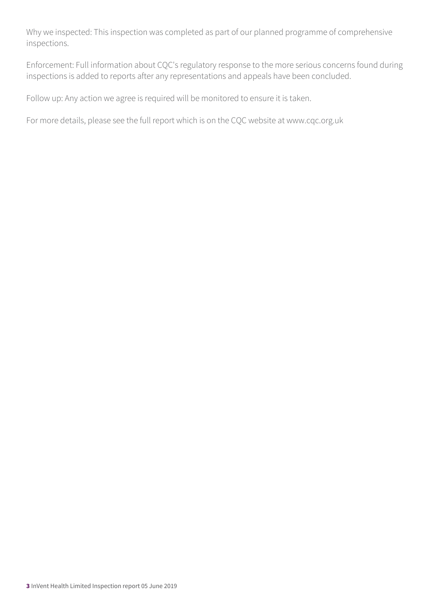Why we inspected: This inspection was completed as part of our planned programme of comprehensive inspections.

Enforcement: Full information about CQC's regulatory response to the more serious concerns found during inspections is added to reports after any representations and appeals have been concluded.

Follow up: Any action we agree is required will be monitored to ensure it is taken.

For more details, please see the full report which is on the CQC website at www.cqc.org.uk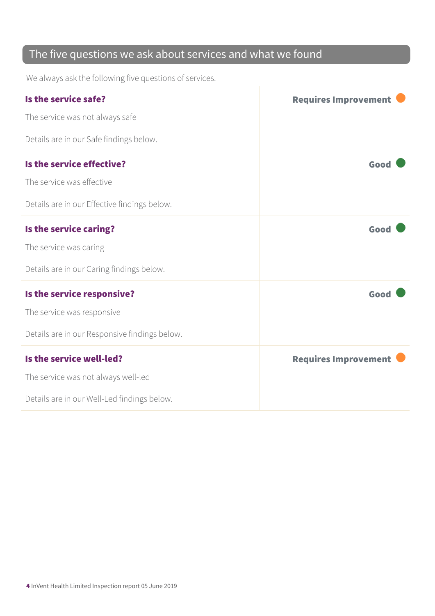#### The five questions we ask about services and what we found

We always ask the following five questions of services.

| Is the service safe?                          | <b>Requires Improvement</b> |
|-----------------------------------------------|-----------------------------|
| The service was not always safe               |                             |
| Details are in our Safe findings below.       |                             |
| Is the service effective?                     | Good                        |
| The service was effective                     |                             |
| Details are in our Effective findings below.  |                             |
| Is the service caring?                        | Good                        |
| The service was caring                        |                             |
| Details are in our Caring findings below.     |                             |
| Is the service responsive?                    | Good                        |
| The service was responsive                    |                             |
| Details are in our Responsive findings below. |                             |
| Is the service well-led?                      | <b>Requires Improvement</b> |
| The service was not always well-led           |                             |
| Details are in our Well-Led findings below.   |                             |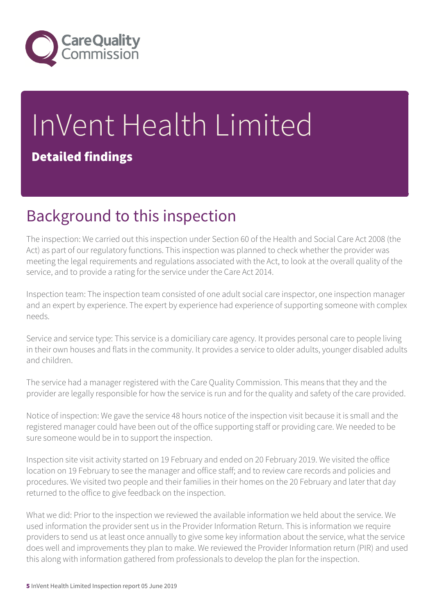

# InVent Health Limited Detailed findings

### Background to this inspection

The inspection: We carried out this inspection under Section 60 of the Health and Social Care Act 2008 (the Act) as part of our regulatory functions. This inspection was planned to check whether the provider was meeting the legal requirements and regulations associated with the Act, to look at the overall quality of the service, and to provide a rating for the service under the Care Act 2014.

Inspection team: The inspection team consisted of one adult social care inspector, one inspection manager and an expert by experience. The expert by experience had experience of supporting someone with complex needs.

Service and service type: This service is a domiciliary care agency. It provides personal care to people living in their own houses and flats in the community. It provides a service to older adults, younger disabled adults and children.

The service had a manager registered with the Care Quality Commission. This means that they and the provider are legally responsible for how the service is run and for the quality and safety of the care provided.

Notice of inspection: We gave the service 48 hours notice of the inspection visit because it is small and the registered manager could have been out of the office supporting staff or providing care. We needed to be sure someone would be in to support the inspection.

Inspection site visit activity started on 19 February and ended on 20 February 2019. We visited the office location on 19 February to see the manager and office staff; and to review care records and policies and procedures. We visited two people and their families in their homes on the 20 February and later that day returned to the office to give feedback on the inspection.

What we did: Prior to the inspection we reviewed the available information we held about the service. We used information the provider sent us in the Provider Information Return. This is information we require providers to send us at least once annually to give some key information about the service, what the service does well and improvements they plan to make. We reviewed the Provider Information return (PIR) and used this along with information gathered from professionals to develop the plan for the inspection.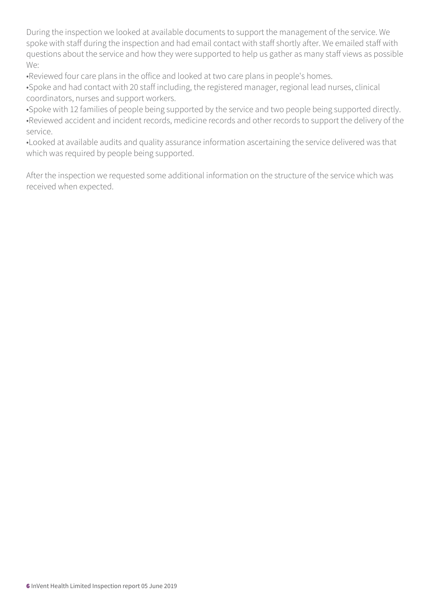During the inspection we looked at available documents to support the management of the service. We spoke with staff during the inspection and had email contact with staff shortly after. We emailed staff with questions about the service and how they were supported to help us gather as many staff views as possible We:

•Reviewed four care plans in the office and looked at two care plans in people's homes.

•Spoke and had contact with 20 staff including, the registered manager, regional lead nurses, clinical coordinators, nurses and support workers.

•Spoke with 12 families of people being supported by the service and two people being supported directly. •Reviewed accident and incident records, medicine records and other records to support the delivery of the service.

•Looked at available audits and quality assurance information ascertaining the service delivered was that which was required by people being supported.

After the inspection we requested some additional information on the structure of the service which was received when expected.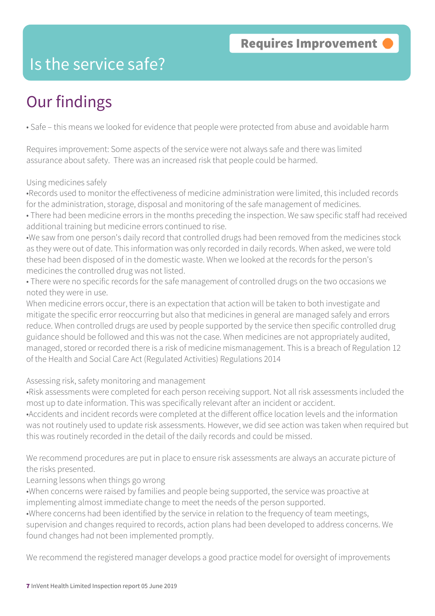### Is the service safe?

# Our findings

• Safe – this means we looked for evidence that people were protected from abuse and avoidable harm

Requires improvement: Some aspects of the service were not always safe and there was limited assurance about safety. There was an increased risk that people could be harmed.

#### Using medicines safely

•Records used to monitor the effectiveness of medicine administration were limited, this included records for the administration, storage, disposal and monitoring of the safe management of medicines.

• There had been medicine errors in the months preceding the inspection. We saw specific staff had received additional training but medicine errors continued to rise.

•We saw from one person's daily record that controlled drugs had been removed from the medicines stock as they were out of date. This information was only recorded in daily records. When asked, we were told these had been disposed of in the domestic waste. When we looked at the records for the person's medicines the controlled drug was not listed.

• There were no specific records for the safe management of controlled drugs on the two occasions we noted they were in use.

When medicine errors occur, there is an expectation that action will be taken to both investigate and mitigate the specific error reoccurring but also that medicines in general are managed safely and errors reduce. When controlled drugs are used by people supported by the service then specific controlled drug guidance should be followed and this was not the case. When medicines are not appropriately audited, managed, stored or recorded there is a risk of medicine mismanagement. This is a breach of Regulation 12 of the Health and Social Care Act (Regulated Activities) Regulations 2014

#### Assessing risk, safety monitoring and management

•Risk assessments were completed for each person receiving support. Not all risk assessments included the most up to date information. This was specifically relevant after an incident or accident.

•Accidents and incident records were completed at the different office location levels and the information was not routinely used to update risk assessments. However, we did see action was taken when required but this was routinely recorded in the detail of the daily records and could be missed.

We recommend procedures are put in place to ensure risk assessments are always an accurate picture of the risks presented.

#### Learning lessons when things go wrong

•When concerns were raised by families and people being supported, the service was proactive at implementing almost immediate change to meet the needs of the person supported.

•Where concerns had been identified by the service in relation to the frequency of team meetings,

supervision and changes required to records, action plans had been developed to address concerns. We found changes had not been implemented promptly.

We recommend the registered manager develops a good practice model for oversight of improvements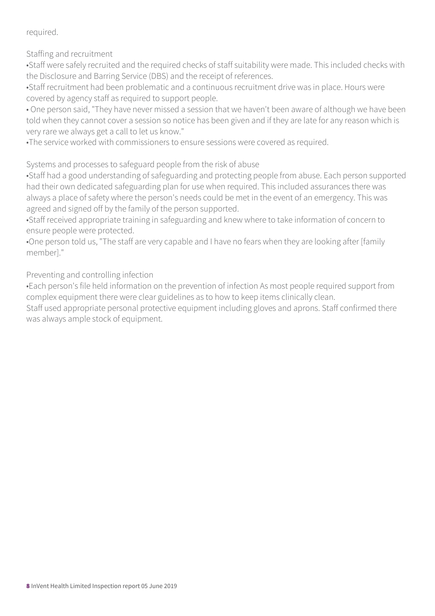required.

Staffing and recruitment

•Staff were safely recruited and the required checks of staff suitability were made. This included checks with the Disclosure and Barring Service (DBS) and the receipt of references.

•Staff recruitment had been problematic and a continuous recruitment drive was in place. Hours were covered by agency staff as required to support people.

• One person said, "They have never missed a session that we haven't been aware of although we have been told when they cannot cover a session so notice has been given and if they are late for any reason which is very rare we always get a call to let us know."

•The service worked with commissioners to ensure sessions were covered as required.

Systems and processes to safeguard people from the risk of abuse

•Staff had a good understanding of safeguarding and protecting people from abuse. Each person supported had their own dedicated safeguarding plan for use when required. This included assurances there was always a place of safety where the person's needs could be met in the event of an emergency. This was agreed and signed off by the family of the person supported.

•Staff received appropriate training in safeguarding and knew where to take information of concern to ensure people were protected.

•One person told us, "The staff are very capable and I have no fears when they are looking after [family member]."

Preventing and controlling infection

•Each person's file held information on the prevention of infection As most people required support from complex equipment there were clear guidelines as to how to keep items clinically clean.

Staff used appropriate personal protective equipment including gloves and aprons. Staff confirmed there was always ample stock of equipment.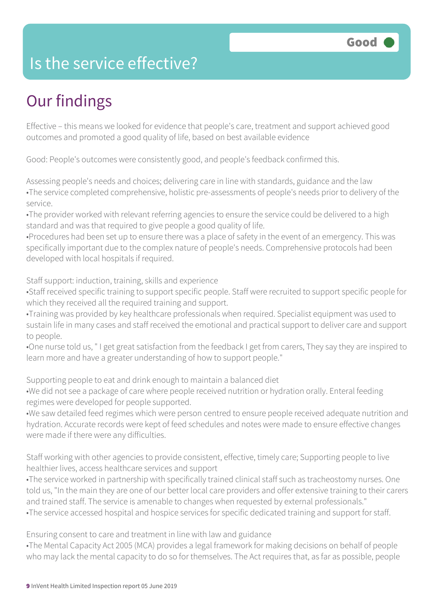### Is the service effective?

## Our findings

Effective – this means we looked for evidence that people's care, treatment and support achieved good outcomes and promoted a good quality of life, based on best available evidence

Good: People's outcomes were consistently good, and people's feedback confirmed this.

Assessing people's needs and choices; delivering care in line with standards, guidance and the law •The service completed comprehensive, holistic pre-assessments of people's needs prior to delivery of the service.

•The provider worked with relevant referring agencies to ensure the service could be delivered to a high standard and was that required to give people a good quality of life.

•Procedures had been set up to ensure there was a place of safety in the event of an emergency. This was specifically important due to the complex nature of people's needs. Comprehensive protocols had been developed with local hospitals if required.

Staff support: induction, training, skills and experience

•Staff received specific training to support specific people. Staff were recruited to support specific people for which they received all the required training and support.

•Training was provided by key healthcare professionals when required. Specialist equipment was used to sustain life in many cases and staff received the emotional and practical support to deliver care and support to people.

•One nurse told us, " I get great satisfaction from the feedback I get from carers, They say they are inspired to learn more and have a greater understanding of how to support people."

Supporting people to eat and drink enough to maintain a balanced diet

•We did not see a package of care where people received nutrition or hydration orally. Enteral feeding regimes were developed for people supported.

•We saw detailed feed regimes which were person centred to ensure people received adequate nutrition and hydration. Accurate records were kept of feed schedules and notes were made to ensure effective changes were made if there were any difficulties.

Staff working with other agencies to provide consistent, effective, timely care; Supporting people to live healthier lives, access healthcare services and support

•The service worked in partnership with specifically trained clinical staff such as tracheostomy nurses. One told us, "In the main they are one of our better local care providers and offer extensive training to their carers and trained staff. The service is amenable to changes when requested by external professionals." •The service accessed hospital and hospice services for specific dedicated training and support for staff.

Ensuring consent to care and treatment in line with law and guidance

•The Mental Capacity Act 2005 (MCA) provides a legal framework for making decisions on behalf of people who may lack the mental capacity to do so for themselves. The Act requires that, as far as possible, people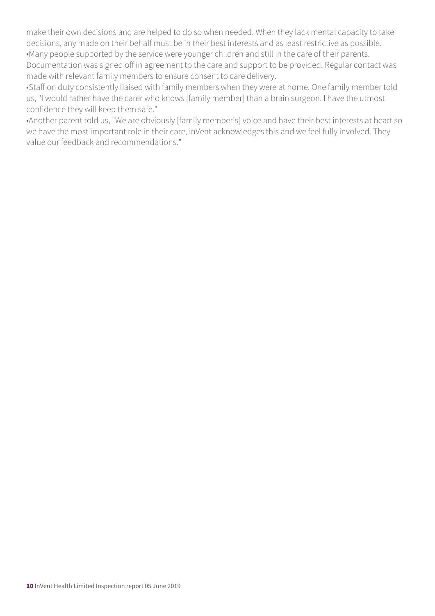make their own decisions and are helped to do so when needed. When they lack mental capacity to take decisions, any made on their behalf must be in their best interests and as least restrictive as possible. •Many people supported by the service were younger children and still in the care of their parents. Documentation was signed off in agreement to the care and support to be provided. Regular contact was made with relevant family members to ensure consent to care delivery.

•Staff on duty consistently liaised with family members when they were at home. One family member told us, "I would rather have the carer who knows [family member] than a brain surgeon. I have the utmost confidence they will keep them safe."

•Another parent told us, "We are obviously [family member's] voice and have their best interests at heart so we have the most important role in their care, inVent acknowledges this and we feel fully involved. They value our feedback and recommendations."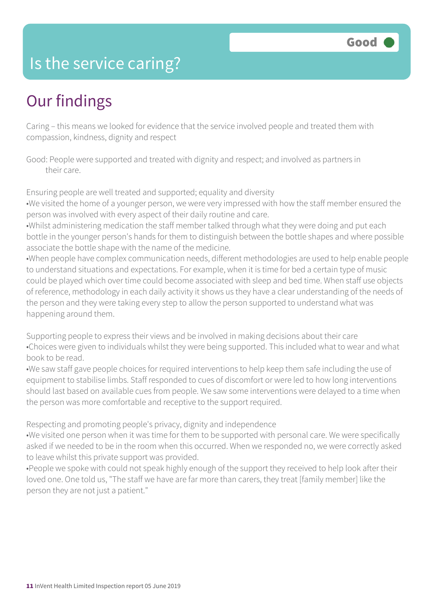### Is the service caring?

## Our findings

Caring – this means we looked for evidence that the service involved people and treated them with compassion, kindness, dignity and respect

Good: People were supported and treated with dignity and respect; and involved as partners in their care.

Ensuring people are well treated and supported; equality and diversity

•We visited the home of a younger person, we were very impressed with how the staff member ensured the person was involved with every aspect of their daily routine and care.

•Whilst administering medication the staff member talked through what they were doing and put each bottle in the younger person's hands for them to distinguish between the bottle shapes and where possible associate the bottle shape with the name of the medicine.

•When people have complex communication needs, different methodologies are used to help enable people to understand situations and expectations. For example, when it is time for bed a certain type of music could be played which over time could become associated with sleep and bed time. When staff use objects of reference, methodology in each daily activity it shows us they have a clear understanding of the needs of the person and they were taking every step to allow the person supported to understand what was happening around them.

Supporting people to express their views and be involved in making decisions about their care •Choices were given to individuals whilst they were being supported. This included what to wear and what book to be read.

•We saw staff gave people choices for required interventions to help keep them safe including the use of equipment to stabilise limbs. Staff responded to cues of discomfort or were led to how long interventions should last based on available cues from people. We saw some interventions were delayed to a time when the person was more comfortable and receptive to the support required.

Respecting and promoting people's privacy, dignity and independence

•We visited one person when it was time for them to be supported with personal care. We were specifically asked if we needed to be in the room when this occurred. When we responded no, we were correctly asked to leave whilst this private support was provided.

•People we spoke with could not speak highly enough of the support they received to help look after their loved one. One told us, "The staff we have are far more than carers, they treat [family member] like the person they are not just a patient."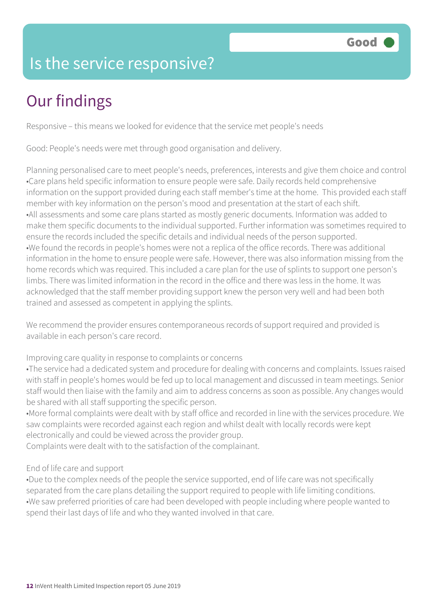### Is the service responsive?

# Our findings

Responsive – this means we looked for evidence that the service met people's needs

Good: People's needs were met through good organisation and delivery.

Planning personalised care to meet people's needs, preferences, interests and give them choice and control •Care plans held specific information to ensure people were safe. Daily records held comprehensive information on the support provided during each staff member's time at the home. This provided each staff member with key information on the person's mood and presentation at the start of each shift. •All assessments and some care plans started as mostly generic documents. Information was added to make them specific documents to the individual supported. Further information was sometimes required to ensure the records included the specific details and individual needs of the person supported. •We found the records in people's homes were not a replica of the office records. There was additional information in the home to ensure people were safe. However, there was also information missing from the home records which was required. This included a care plan for the use of splints to support one person's limbs. There was limited information in the record in the office and there was less in the home. It was acknowledged that the staff member providing support knew the person very well and had been both trained and assessed as competent in applying the splints.

We recommend the provider ensures contemporaneous records of support required and provided is available in each person's care record.

Improving care quality in response to complaints or concerns

•The service had a dedicated system and procedure for dealing with concerns and complaints. Issues raised with staff in people's homes would be fed up to local management and discussed in team meetings. Senior staff would then liaise with the family and aim to address concerns as soon as possible. Any changes would be shared with all staff supporting the specific person.

•More formal complaints were dealt with by staff office and recorded in line with the services procedure. We saw complaints were recorded against each region and whilst dealt with locally records were kept electronically and could be viewed across the provider group.

Complaints were dealt with to the satisfaction of the complainant.

#### End of life care and support

•Due to the complex needs of the people the service supported, end of life care was not specifically separated from the care plans detailing the support required to people with life limiting conditions. •We saw preferred priorities of care had been developed with people including where people wanted to spend their last days of life and who they wanted involved in that care.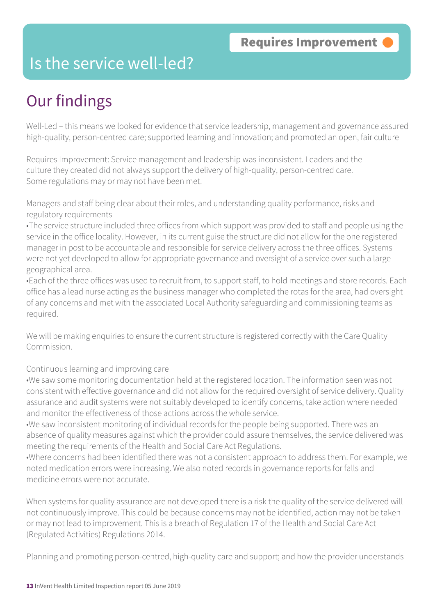#### Is the service well-led?

## Our findings

Well-Led – this means we looked for evidence that service leadership, management and governance assured high-quality, person-centred care; supported learning and innovation; and promoted an open, fair culture

Requires Improvement: Service management and leadership was inconsistent. Leaders and the culture they created did not always support the delivery of high-quality, person-centred care. Some regulations may or may not have been met.

Managers and staff being clear about their roles, and understanding quality performance, risks and regulatory requirements

•The service structure included three offices from which support was provided to staff and people using the service in the office locality. However, in its current guise the structure did not allow for the one registered manager in post to be accountable and responsible for service delivery across the three offices. Systems were not yet developed to allow for appropriate governance and oversight of a service over such a large geographical area.

•Each of the three offices was used to recruit from, to support staff, to hold meetings and store records. Each office has a lead nurse acting as the business manager who completed the rotas for the area, had oversight of any concerns and met with the associated Local Authority safeguarding and commissioning teams as required.

We will be making enquiries to ensure the current structure is registered correctly with the Care Quality Commission.

#### Continuous learning and improving care

•We saw some monitoring documentation held at the registered location. The information seen was not consistent with effective governance and did not allow for the required oversight of service delivery. Quality assurance and audit systems were not suitably developed to identify concerns, take action where needed and monitor the effectiveness of those actions across the whole service.

•We saw inconsistent monitoring of individual records for the people being supported. There was an absence of quality measures against which the provider could assure themselves, the service delivered was meeting the requirements of the Health and Social Care Act Regulations.

•Where concerns had been identified there was not a consistent approach to address them. For example, we noted medication errors were increasing. We also noted records in governance reports for falls and medicine errors were not accurate.

When systems for quality assurance are not developed there is a risk the quality of the service delivered will not continuously improve. This could be because concerns may not be identified, action may not be taken or may not lead to improvement. This is a breach of Regulation 17 of the Health and Social Care Act (Regulated Activities) Regulations 2014.

Planning and promoting person-centred, high-quality care and support; and how the provider understands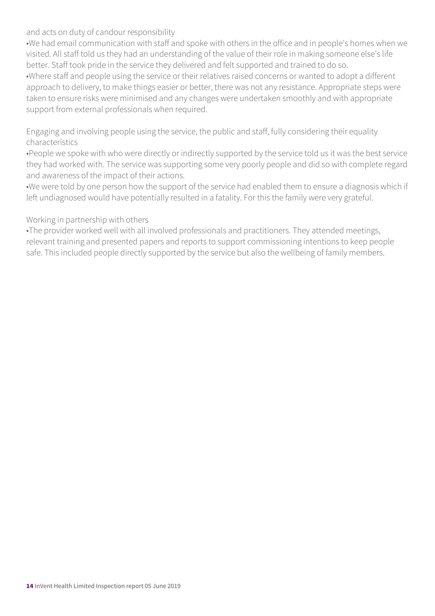and acts on duty of candour responsibility

•We had email communication with staff and spoke with others in the office and in people's homes when we visited. All staff told us they had an understanding of the value of their role in making someone else's life better. Staff took pride in the service they delivered and felt supported and trained to do so.

•Where staff and people using the service or their relatives raised concerns or wanted to adopt a different approach to delivery, to make things easier or better, there was not any resistance. Appropriate steps were taken to ensure risks were minimised and any changes were undertaken smoothly and with appropriate support from external professionals when required.

Engaging and involving people using the service, the public and staff, fully considering their equality characteristics

•People we spoke with who were directly or indirectly supported by the service told us it was the best service they had worked with. The service was supporting some very poorly people and did so with complete regard and awareness of the impact of their actions.

•We were told by one person how the support of the service had enabled them to ensure a diagnosis which if left undiagnosed would have potentially resulted in a fatality. For this the family were very grateful.

#### Working in partnership with others

•The provider worked well with all involved professionals and practitioners. They attended meetings, relevant training and presented papers and reports to support commissioning intentions to keep people safe. This included people directly supported by the service but also the wellbeing of family members.